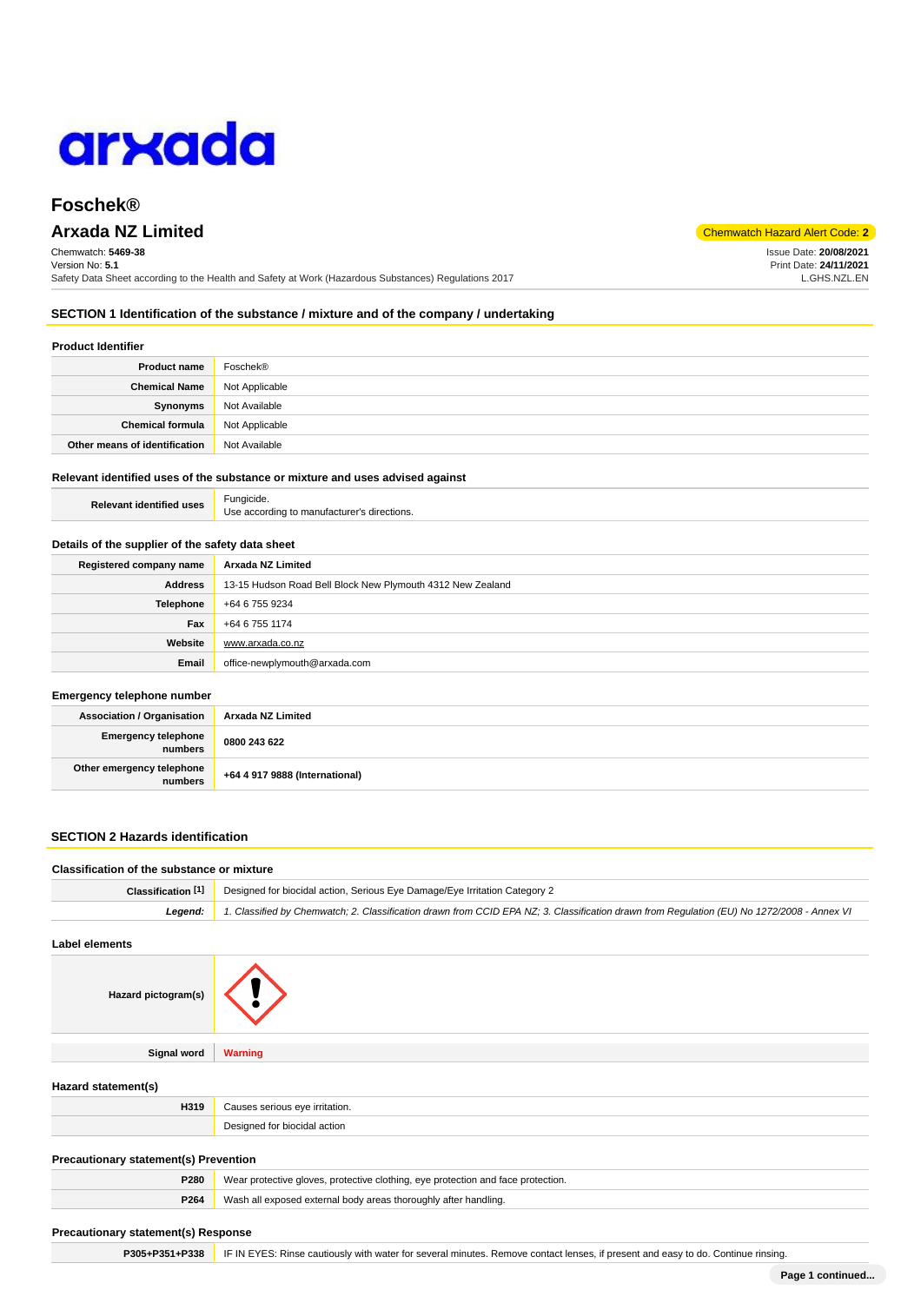

# **Foschek®**

# **Arxada NZ Limited** Code: **2**

Chemwatch: **5469-38** Version No: **5.1** Safety Data Sheet according to the Health and Safety at Work (Hazardous Substances) Regulations 2017 Issue Date: **20/08/2021**

Print Date: **24/11/2021** L.GHS.NZL.EN

**SECTION 1 Identification of the substance / mixture and of the company / undertaking**

# **Product Identifier**

| <b>Product name</b>           | Foschek®       |
|-------------------------------|----------------|
| <b>Chemical Name</b>          | Not Applicable |
| Synonyms                      | Not Available  |
| <b>Chemical formula</b>       | Not Applicable |
| Other means of identification | Not Available  |

### **Relevant identified uses of the substance or mixture and uses advised against**

**Relevant identified uses** Fungicide Use according to manufacturer's directions.

# **Details of the supplier of the safety data sheet**

| Registered company name | Arxada NZ Limited                                          |
|-------------------------|------------------------------------------------------------|
| <b>Address</b>          | 13-15 Hudson Road Bell Block New Plymouth 4312 New Zealand |
| <b>Telephone</b>        | +64 6 755 9234                                             |
| Fax                     | +64 6 755 1174                                             |
| Website                 | www.arxada.co.nz                                           |
| Email                   | office-newplymouth@arxada.com                              |

#### **Emergency telephone number**

| <b>Association / Organisation</b>    | Arxada NZ Limited              |
|--------------------------------------|--------------------------------|
| Emergency telephone<br>numbers       | 0800 243 622                   |
| Other emergency telephone<br>numbers | +64 4 917 9888 (International) |

# **SECTION 2 Hazards identification**

|                                                                     | <b>Classification of the substance or mixture</b>                                                                                          |  |  |
|---------------------------------------------------------------------|--------------------------------------------------------------------------------------------------------------------------------------------|--|--|
| Classification <sup>[1]</sup>                                       | Designed for biocidal action, Serious Eye Damage/Eye Irritation Category 2                                                                 |  |  |
| Legend:                                                             | 1. Classified by Chemwatch; 2. Classification drawn from CCID EPA NZ; 3. Classification drawn from Regulation (EU) No 1272/2008 - Annex VI |  |  |
| <b>Label elements</b>                                               |                                                                                                                                            |  |  |
| Hazard pictogram(s)                                                 |                                                                                                                                            |  |  |
| Signal word                                                         | <b>Warning</b>                                                                                                                             |  |  |
|                                                                     |                                                                                                                                            |  |  |
|                                                                     |                                                                                                                                            |  |  |
| H319                                                                | Causes serious eye irritation.                                                                                                             |  |  |
|                                                                     | Designed for biocidal action                                                                                                               |  |  |
| Hazard statement(s)<br><b>Precautionary statement(s) Prevention</b> |                                                                                                                                            |  |  |
| P280                                                                | Wear protective gloves, protective clothing, eye protection and face protection.                                                           |  |  |

P305+P351+P338 **IF IN EYES: Rinse cautiously with water for several minutes. Remove contact lenses, if present and easy to do. Continue rinsing.**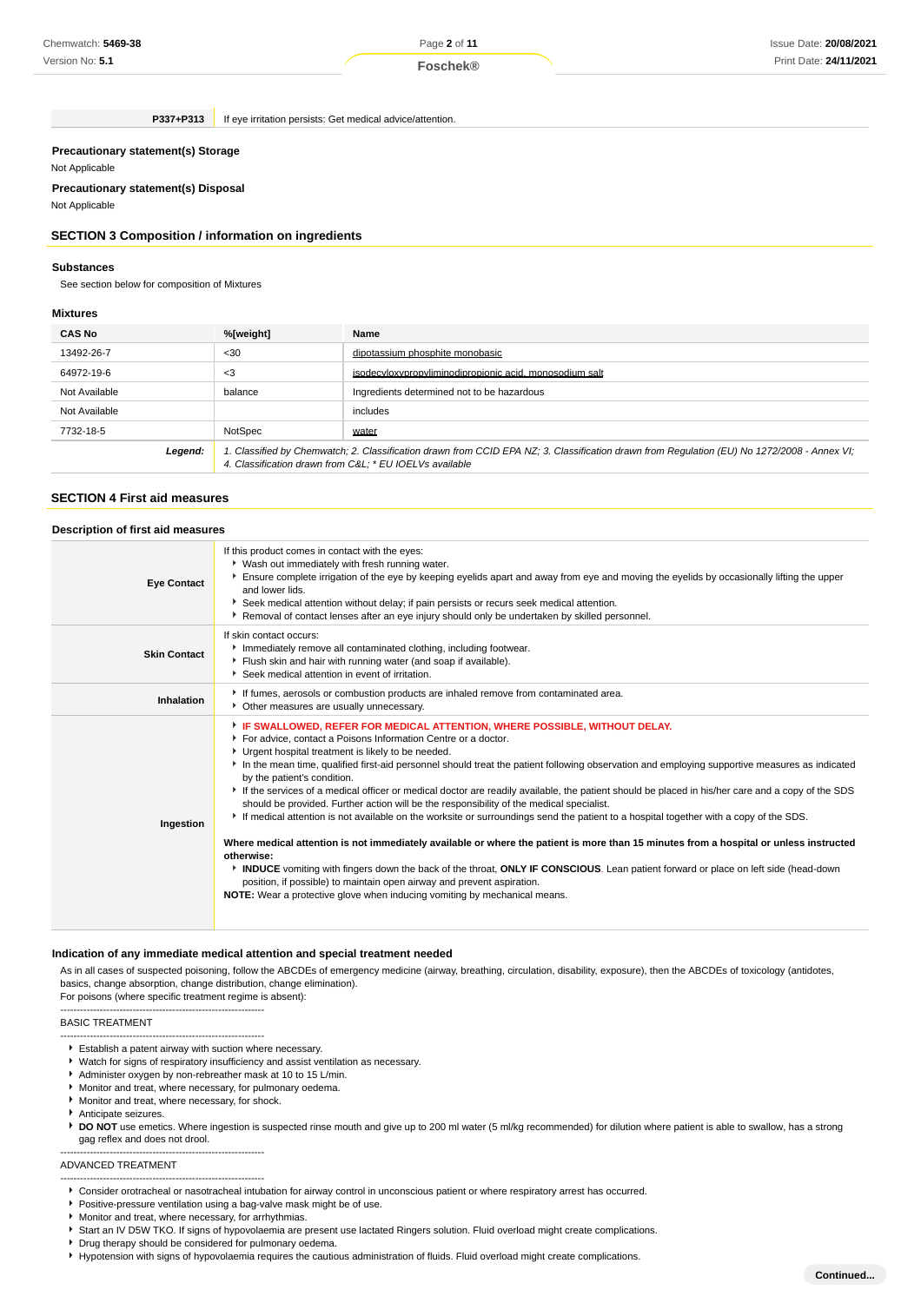Page **2** of **11**

**P337+P313** If eye irritation persists: Get medical advice/attention.

#### **Precautionary statement(s) Storage**

Not Applicable

# **Precautionary statement(s) Disposal**

Not Applicable

# **SECTION 3 Composition / information on ingredients**

# **Substances**

See section below for composition of Mixtures

# **Mixtures**

| <b>CAS No</b> | %[weight]                                                                                                                                                                                              | Name                                                    |  |
|---------------|--------------------------------------------------------------------------------------------------------------------------------------------------------------------------------------------------------|---------------------------------------------------------|--|
| 13492-26-7    | $30$                                                                                                                                                                                                   | dipotassium phosphite monobasic                         |  |
| 64972-19-6    | $3$                                                                                                                                                                                                    | isodecyloxypropyliminodipropionic acid, monosodium salt |  |
| Not Available | balance                                                                                                                                                                                                | Ingredients determined not to be hazardous              |  |
| Not Available |                                                                                                                                                                                                        | includes                                                |  |
| 7732-18-5     | NotSpec                                                                                                                                                                                                | water                                                   |  |
| Legend:       | 1. Classified by Chemwatch; 2. Classification drawn from CCID EPA NZ; 3. Classification drawn from Regulation (EU) No 1272/2008 - Annex VI;<br>4. Classification drawn from C&L * EU IOEL Vs available |                                                         |  |

# **SECTION 4 First aid measures**

| Description of first aid measures |                                                                                                                                                                                                                                                                                                                                                                                                                                                                                                                                                                                                                                                                                                                                                                                                                                                                                                                                                                                                                                                                                                                                                                                                                                       |
|-----------------------------------|---------------------------------------------------------------------------------------------------------------------------------------------------------------------------------------------------------------------------------------------------------------------------------------------------------------------------------------------------------------------------------------------------------------------------------------------------------------------------------------------------------------------------------------------------------------------------------------------------------------------------------------------------------------------------------------------------------------------------------------------------------------------------------------------------------------------------------------------------------------------------------------------------------------------------------------------------------------------------------------------------------------------------------------------------------------------------------------------------------------------------------------------------------------------------------------------------------------------------------------|
| <b>Eye Contact</b>                | If this product comes in contact with the eyes:<br>* Wash out immediately with fresh running water.<br>Ensure complete irrigation of the eye by keeping eyelids apart and away from eye and moving the eyelids by occasionally lifting the upper<br>and lower lids.<br>▶ Seek medical attention without delay; if pain persists or recurs seek medical attention.<br>Removal of contact lenses after an eye injury should only be undertaken by skilled personnel.                                                                                                                                                                                                                                                                                                                                                                                                                                                                                                                                                                                                                                                                                                                                                                    |
| <b>Skin Contact</b>               | If skin contact occurs:<br>Immediately remove all contaminated clothing, including footwear.<br>Flush skin and hair with running water (and soap if available).<br>Seek medical attention in event of irritation.                                                                                                                                                                                                                                                                                                                                                                                                                                                                                                                                                                                                                                                                                                                                                                                                                                                                                                                                                                                                                     |
| Inhalation                        | If fumes, aerosols or combustion products are inhaled remove from contaminated area.<br>• Other measures are usually unnecessary.                                                                                                                                                                                                                                                                                                                                                                                                                                                                                                                                                                                                                                                                                                                                                                                                                                                                                                                                                                                                                                                                                                     |
| Ingestion                         | FIF SWALLOWED, REFER FOR MEDICAL ATTENTION, WHERE POSSIBLE, WITHOUT DELAY.<br>For advice, contact a Poisons Information Centre or a doctor.<br>Urgent hospital treatment is likely to be needed.<br>In the mean time, qualified first-aid personnel should treat the patient following observation and employing supportive measures as indicated<br>by the patient's condition.<br>If the services of a medical officer or medical doctor are readily available, the patient should be placed in his/her care and a copy of the SDS<br>should be provided. Further action will be the responsibility of the medical specialist.<br>If medical attention is not available on the worksite or surroundings send the patient to a hospital together with a copy of the SDS.<br>Where medical attention is not immediately available or where the patient is more than 15 minutes from a hospital or unless instructed<br>otherwise:<br>INDUCE vomiting with fingers down the back of the throat, ONLY IF CONSCIOUS. Lean patient forward or place on left side (head-down<br>position, if possible) to maintain open airway and prevent aspiration.<br><b>NOTE:</b> Wear a protective glove when inducing vomiting by mechanical means. |

#### **Indication of any immediate medical attention and special treatment needed**

As in all cases of suspected poisoning, follow the ABCDEs of emergency medicine (airway, breathing, circulation, disability, exposure), then the ABCDEs of toxicology (antidotes, basics, change absorption, change distribution, change elimination). For poisons (where specific treatment regime is absent):

#### -------------------------------------------------------------- BASIC TREATMENT

- --------------------------------------------------------------
- Establish a patent airway with suction where necessary. ► Watch for signs of respiratory insufficiency and assist ventilation as necessary.
- Administer oxygen by non-rebreather mask at 10 to 15 L/min.
- Monitor and treat, where necessary, for pulmonary oedema.
- **Monitor and treat, where necessary, for shock.**
- Anticipate seizures.

--------------------------------------------------------------

--------------------------------------------------------------

**DO NOT** use emetics. Where ingestion is suspected rinse mouth and give up to 200 ml water (5 ml/kg recommended) for dilution where patient is able to swallow, has a strong gag reflex and does not drool.

#### ADVANCED TREATMENT

- Consider orotracheal or nasotracheal intubation for airway control in unconscious patient or where respiratory arrest has occurred.
- **Positive-pressure ventilation using a bag-valve mask might be of use.**
- **Monitor and treat, where necessary, for arrhythmias.**
- Start an IV D5W TKO. If signs of hypovolaemia are present use lactated Ringers solution. Fluid overload might create complications.
- **P** Drug therapy should be considered for pulmonary oedema.
- Hypotension with signs of hypovolaemia requires the cautious administration of fluids. Fluid overload might create complications.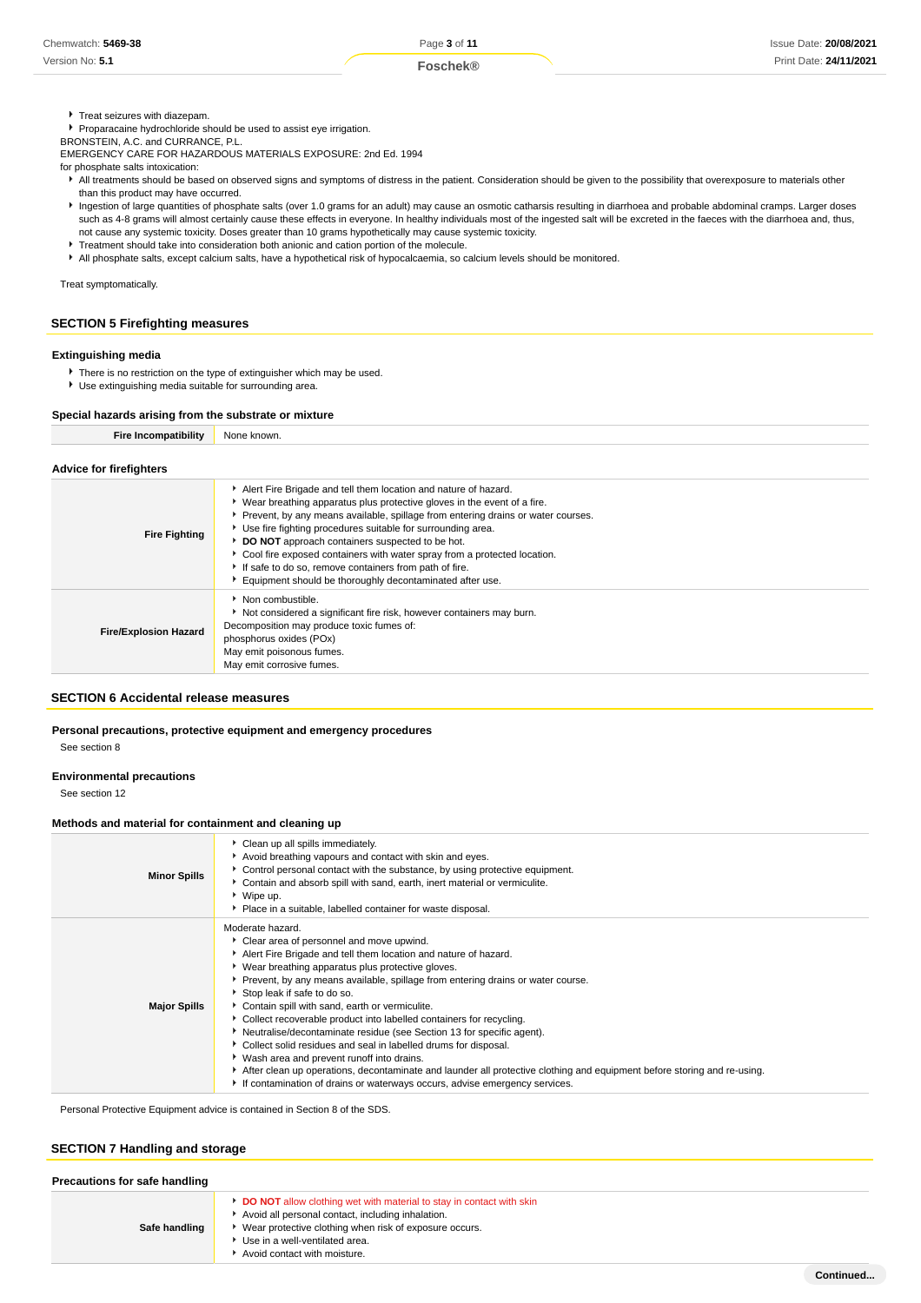**F** Treat seizures with diazepam.

Proparacaine hydrochloride should be used to assist eye irrigation.

BRONSTEIN, A.C. and CURRANCE, P.L.

EMERGENCY CARE FOR HAZARDOUS MATERIALS EXPOSURE: 2nd Ed. 1994

for phosphate salts intoxication:

- All treatments should be based on observed signs and symptoms of distress in the patient. Consideration should be given to the possibility that overexposure to materials other than this product may have occurred.
- Ingestion of large quantities of phosphate salts (over 1.0 grams for an adult) may cause an osmotic catharsis resulting in diarrhoea and probable abdominal cramps. Larger doses such as 4-8 grams will almost certainly cause these effects in everyone. In healthy individuals most of the ingested salt will be excreted in the faeces with the diarrhoea and, thus, not cause any systemic toxicity. Doses greater than 10 grams hypothetically may cause systemic toxicity.
- Treatment should take into consideration both anionic and cation portion of the molecule.
- All phosphate salts, except calcium salts, have a hypothetical risk of hypocalcaemia, so calcium levels should be monitored.

Treat symptomatically.

# **SECTION 5 Firefighting measures**

### **Extinguishing media**

- ▶ There is no restriction on the type of extinguisher which may be used.
- Use extinguishing media suitable for surrounding area.

# **Special hazards arising from the substrate or mixture**

| <b>Fire Incompatibility</b>    | None known.                                                                                                                                                                                                                                                                                                                                                                                                                                                                                                                                          |  |  |  |
|--------------------------------|------------------------------------------------------------------------------------------------------------------------------------------------------------------------------------------------------------------------------------------------------------------------------------------------------------------------------------------------------------------------------------------------------------------------------------------------------------------------------------------------------------------------------------------------------|--|--|--|
| <b>Advice for firefighters</b> |                                                                                                                                                                                                                                                                                                                                                                                                                                                                                                                                                      |  |  |  |
| <b>Fire Fighting</b>           | Alert Fire Brigade and tell them location and nature of hazard.<br>▶ Wear breathing apparatus plus protective gloves in the event of a fire.<br>Prevent, by any means available, spillage from entering drains or water courses.<br>Use fire fighting procedures suitable for surrounding area.<br>DO NOT approach containers suspected to be hot.<br>Cool fire exposed containers with water spray from a protected location.<br>If safe to do so, remove containers from path of fire.<br>Equipment should be thoroughly decontaminated after use. |  |  |  |
| <b>Fire/Explosion Hazard</b>   | Non combustible.<br>Not considered a significant fire risk, however containers may burn.<br>Decomposition may produce toxic fumes of:<br>phosphorus oxides (POx)<br>May emit poisonous fumes.<br>May emit corrosive fumes.                                                                                                                                                                                                                                                                                                                           |  |  |  |

#### **SECTION 6 Accidental release measures**

#### **Personal precautions, protective equipment and emergency procedures**

See section 8

#### **Environmental precautions**

See section 12

#### **Methods and material for containment and cleaning up**

| <b>Minor Spills</b> | Clean up all spills immediately.<br>Avoid breathing vapours and contact with skin and eyes.<br>▶ Control personal contact with the substance, by using protective equipment.<br>Contain and absorb spill with sand, earth, inert material or vermiculite.<br>Wipe up.<br>Place in a suitable, labelled container for waste disposal.                                                                                                                                                                                                                                                                                                                                                                                                                                                                                                   |
|---------------------|----------------------------------------------------------------------------------------------------------------------------------------------------------------------------------------------------------------------------------------------------------------------------------------------------------------------------------------------------------------------------------------------------------------------------------------------------------------------------------------------------------------------------------------------------------------------------------------------------------------------------------------------------------------------------------------------------------------------------------------------------------------------------------------------------------------------------------------|
| <b>Major Spills</b> | Moderate hazard.<br>• Clear area of personnel and move upwind.<br>Alert Fire Brigade and tell them location and nature of hazard.<br>Wear breathing apparatus plus protective gloves.<br>Prevent, by any means available, spillage from entering drains or water course.<br>Stop leak if safe to do so.<br>Contain spill with sand, earth or vermiculite.<br>Collect recoverable product into labelled containers for recycling.<br>Neutralise/decontaminate residue (see Section 13 for specific agent).<br>▶ Collect solid residues and seal in labelled drums for disposal.<br>• Wash area and prevent runoff into drains.<br>After clean up operations, decontaminate and launder all protective clothing and equipment before storing and re-using.<br>If contamination of drains or waterways occurs, advise emergency services. |

Personal Protective Equipment advice is contained in Section 8 of the SDS.

# **SECTION 7 Handling and storage**

| Precautions for safe handling |                                                                                                                                                                                                                                                       |  |  |
|-------------------------------|-------------------------------------------------------------------------------------------------------------------------------------------------------------------------------------------------------------------------------------------------------|--|--|
| Safe handling                 | DO NOT allow clothing wet with material to stay in contact with skin<br>Avoid all personal contact, including inhalation.<br>Wear protective clothing when risk of exposure occurs.<br>Use in a well-ventilated area.<br>Avoid contact with moisture. |  |  |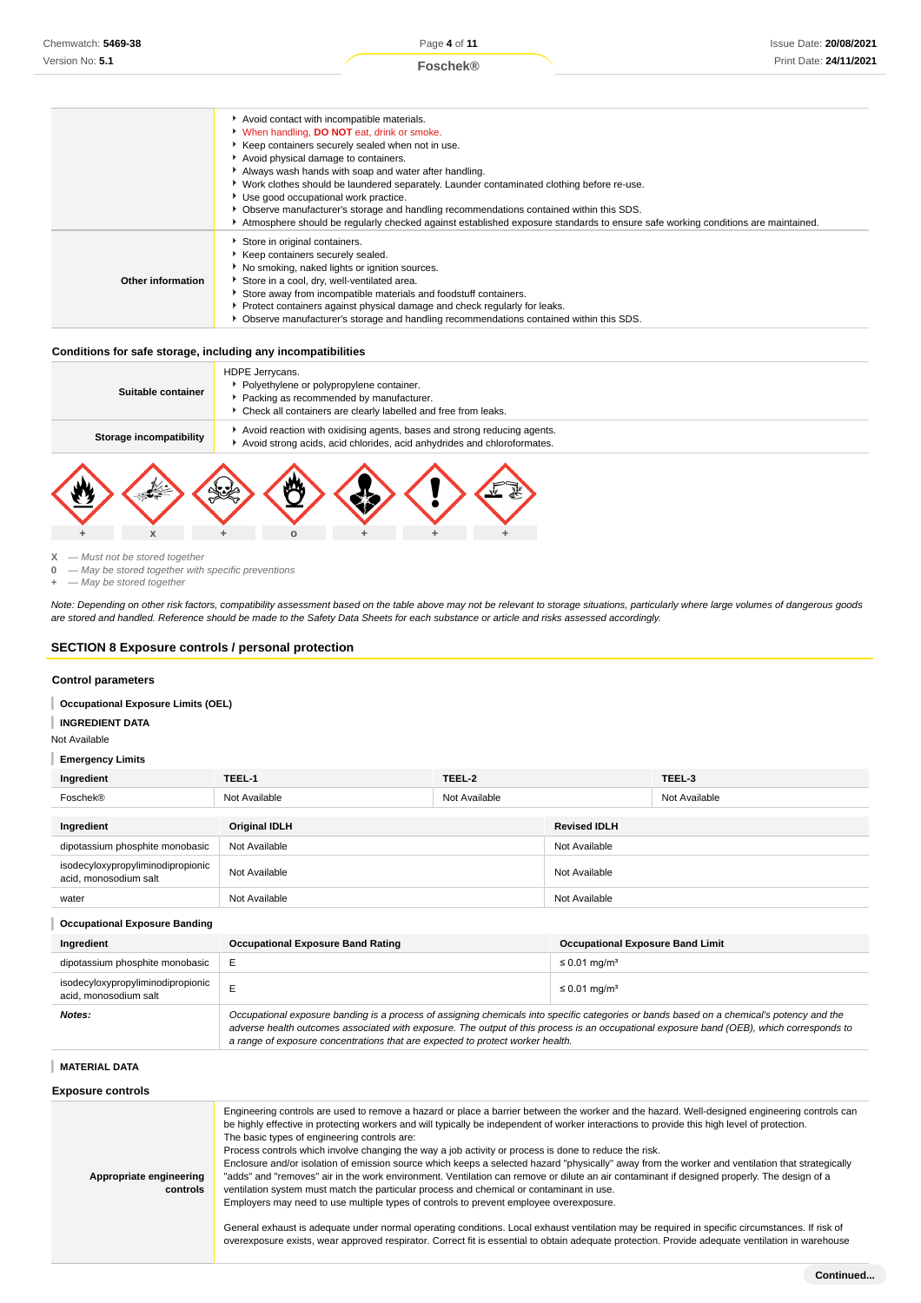

#### **Conditions for safe storage, including any incompatibilities**

| Suitable container      | HDPE Jerrycans.<br>• Polyethylene or polypropylene container.<br>Packing as recommended by manufacturer.<br>Check all containers are clearly labelled and free from leaks. |
|-------------------------|----------------------------------------------------------------------------------------------------------------------------------------------------------------------------|
| Storage incompatibility | Avoid reaction with oxidising agents, bases and strong reducing agents.<br>Avoid strong acids, acid chlorides, acid anhydrides and chloroformates.                         |
|                         |                                                                                                                                                                            |



**0** — May be stored together with specific preventions

**+** — May be stored together

Note: Depending on other risk factors, compatibility assessment based on the table above may not be relevant to storage situations, particularly where large volumes of dangerous goods are stored and handled. Reference should be made to the Safety Data Sheets for each substance or article and risks assessed accordingly.

#### **SECTION 8 Exposure controls / personal protection**

#### **Control parameters**

**Occupational Exposure Limits (OEL)** I

#### **INGREDIENT DATA** I

Not Available

#### **Emergency Limits**

| Ingredient                                                 | TEEL-1               | TEEL-2        |                     | TEEL-3        |
|------------------------------------------------------------|----------------------|---------------|---------------------|---------------|
| Foschek®                                                   | Not Available        | Not Available |                     | Not Available |
| Ingredient                                                 | <b>Original IDLH</b> |               | <b>Revised IDLH</b> |               |
| dipotassium phosphite monobasic                            | Not Available        |               | Not Available       |               |
| isodecyloxypropyliminodipropionic<br>acid, monosodium salt | Not Available        |               | Not Available       |               |
| water                                                      | Not Available        |               | Not Available       |               |
| <b>Occupational Exposure Banding</b>                       |                      |               |                     |               |

| Ingredient                                                 | <b>Occupational Exposure Band Rating</b>                                                                                                                                                                                                                                                                                                                                 | <b>Occupational Exposure Band Limit</b> |  |
|------------------------------------------------------------|--------------------------------------------------------------------------------------------------------------------------------------------------------------------------------------------------------------------------------------------------------------------------------------------------------------------------------------------------------------------------|-----------------------------------------|--|
| dipotassium phosphite monobasic                            |                                                                                                                                                                                                                                                                                                                                                                          | $\leq$ 0.01 mg/m <sup>3</sup>           |  |
| isodecyloxypropyliminodipropionic<br>acid. monosodium salt |                                                                                                                                                                                                                                                                                                                                                                          | $\leq$ 0.01 mg/m <sup>3</sup>           |  |
| Notes:                                                     | Occupational exposure banding is a process of assigning chemicals into specific categories or bands based on a chemical's potency and the<br>adverse health outcomes associated with exposure. The output of this process is an occupational exposure band (OEB), which corresponds to<br>a range of exposure concentrations that are expected to protect worker health. |                                         |  |

#### **MATERIAL DATA**

**Exposure controls**

| Appropriate engineering<br>controls | Engineering controls are used to remove a hazard or place a barrier between the worker and the hazard. Well-designed engineering controls can<br>be highly effective in protecting workers and will typically be independent of worker interactions to provide this high level of protection.<br>The basic types of engineering controls are:<br>Process controls which involve changing the way a job activity or process is done to reduce the risk.<br>Enclosure and/or isolation of emission source which keeps a selected hazard "physically" away from the worker and ventilation that strategically<br>"adds" and "removes" air in the work environment. Ventilation can remove or dilute an air contaminant if designed properly. The design of a<br>ventilation system must match the particular process and chemical or contaminant in use.<br>Employers may need to use multiple types of controls to prevent employee overexposure. |
|-------------------------------------|-------------------------------------------------------------------------------------------------------------------------------------------------------------------------------------------------------------------------------------------------------------------------------------------------------------------------------------------------------------------------------------------------------------------------------------------------------------------------------------------------------------------------------------------------------------------------------------------------------------------------------------------------------------------------------------------------------------------------------------------------------------------------------------------------------------------------------------------------------------------------------------------------------------------------------------------------|
|                                     | General exhaust is adequate under normal operating conditions. Local exhaust ventilation may be required in specific circumstances. If risk of<br>overexposure exists, wear approved respirator. Correct fit is essential to obtain adequate protection. Provide adequate ventilation in warehouse                                                                                                                                                                                                                                                                                                                                                                                                                                                                                                                                                                                                                                              |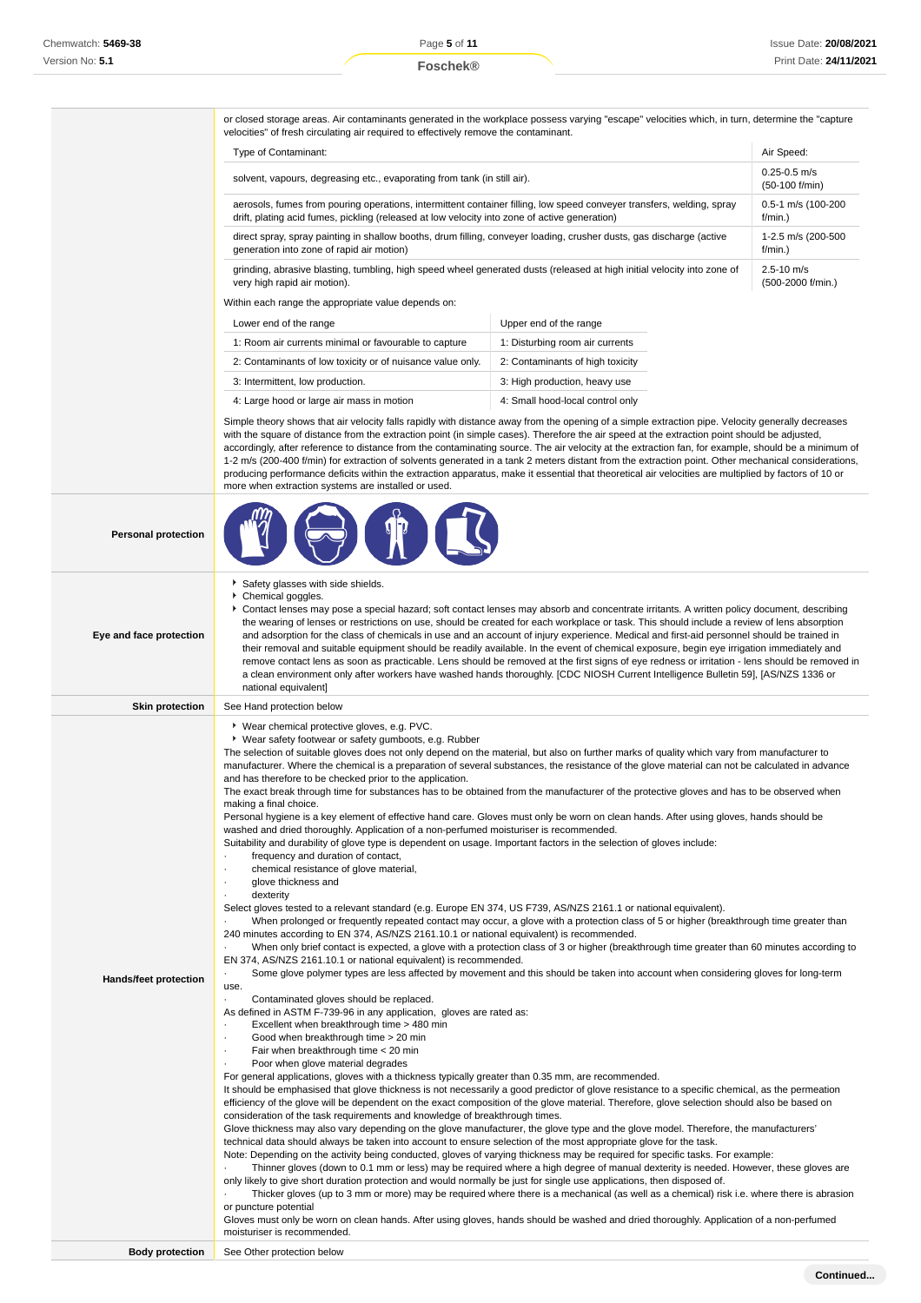or closed storage areas. Air contaminants generated in the workplace possess varying "escape" velocities which, in turn, determine the "capture velocities" of fresh circulating air required to effectively remove the contaminant.

| Type of Contaminant:                                                                                                    | Air Speed:                         |
|-------------------------------------------------------------------------------------------------------------------------|------------------------------------|
| solvent, vapours, degreasing etc., evaporating from tank (in still air).                                                | $0.25 - 0.5$ m/s<br>(50-100 f/min) |
| aerosols, fumes from pouring operations, intermittent container filling, low speed conveyer transfers, welding, spray   | 0.5-1 m/s (100-200                 |
| drift, plating acid fumes, pickling (released at low velocity into zone of active generation)                           | $f/min.$ )                         |
| direct spray, spray painting in shallow booths, drum filling, conveyer loading, crusher dusts, gas discharge (active    | 1-2.5 m/s (200-500                 |
| generation into zone of rapid air motion)                                                                               | $f/min.$ )                         |
| grinding, abrasive blasting, tumbling, high speed wheel generated dusts (released at high initial velocity into zone of | $2.5 - 10$ m/s                     |
| very high rapid air motion).                                                                                            | (500-2000 f/min.)                  |
| Within each range the appropriate value depends on:                                                                     |                                    |

| Lower end of the range                                     | Upper end of the range           |
|------------------------------------------------------------|----------------------------------|
| 1: Room air currents minimal or favourable to capture      | 1: Disturbing room air currents  |
| 2: Contaminants of low toxicity or of nuisance value only. | 2: Contaminants of high toxicity |
| 3: Intermittent, low production.                           | 3: High production, heavy use    |
| 4: Large hood or large air mass in motion                  | 4: Small hood-local control only |

 $\bigoplus$  of  $\bigcap$ 

Simple theory shows that air velocity falls rapidly with distance away from the opening of a simple extraction pipe. Velocity generally decreases with the square of distance from the extraction point (in simple cases). Therefore the air speed at the extraction point should be adjusted, accordingly, after reference to distance from the contaminating source. The air velocity at the extraction fan, for example, should be a minimum of 1-2 m/s (200-400 f/min) for extraction of solvents generated in a tank 2 meters distant from the extraction point. Other mechanical considerations, producing performance deficits within the extraction apparatus, make it essential that theoretical air velocities are multiplied by factors of 10 or more when extraction systems are installed or used.

|  | <b>Personal protection</b> |
|--|----------------------------|
|--|----------------------------|

**ANY** 

|                         | 7V<br><b>Signal Service</b>                                                                                                                                                                                                                                                                                                                                                                                                                                                                                                                                                                                                                                                                                                                                                                                                                                                                                                                                                                                                                                                                                                                                                                                                                                                                                                                                                                                                                                                                                                                                                                                                                                                                                                                                                                                                                                                                                                                                                                                                                                                                                                                                                                                                                                                                                                                                                                                                                                                                                                                                                                                                                                                                                                                                                                                                                                                                                                                                                                                                                                                                                                                                                                                                                                                                                                                                                                                                                                                                                                                                                                                                                                                                     |
|-------------------------|-------------------------------------------------------------------------------------------------------------------------------------------------------------------------------------------------------------------------------------------------------------------------------------------------------------------------------------------------------------------------------------------------------------------------------------------------------------------------------------------------------------------------------------------------------------------------------------------------------------------------------------------------------------------------------------------------------------------------------------------------------------------------------------------------------------------------------------------------------------------------------------------------------------------------------------------------------------------------------------------------------------------------------------------------------------------------------------------------------------------------------------------------------------------------------------------------------------------------------------------------------------------------------------------------------------------------------------------------------------------------------------------------------------------------------------------------------------------------------------------------------------------------------------------------------------------------------------------------------------------------------------------------------------------------------------------------------------------------------------------------------------------------------------------------------------------------------------------------------------------------------------------------------------------------------------------------------------------------------------------------------------------------------------------------------------------------------------------------------------------------------------------------------------------------------------------------------------------------------------------------------------------------------------------------------------------------------------------------------------------------------------------------------------------------------------------------------------------------------------------------------------------------------------------------------------------------------------------------------------------------------------------------------------------------------------------------------------------------------------------------------------------------------------------------------------------------------------------------------------------------------------------------------------------------------------------------------------------------------------------------------------------------------------------------------------------------------------------------------------------------------------------------------------------------------------------------------------------------------------------------------------------------------------------------------------------------------------------------------------------------------------------------------------------------------------------------------------------------------------------------------------------------------------------------------------------------------------------------------------------------------------------------------------------------------------------------|
| Eye and face protection | Safety glasses with side shields.<br>Chemical goggles.<br>Contact lenses may pose a special hazard; soft contact lenses may absorb and concentrate irritants. A written policy document, describing<br>the wearing of lenses or restrictions on use, should be created for each workplace or task. This should include a review of lens absorption<br>and adsorption for the class of chemicals in use and an account of injury experience. Medical and first-aid personnel should be trained in<br>their removal and suitable equipment should be readily available. In the event of chemical exposure, begin eye irrigation immediately and<br>remove contact lens as soon as practicable. Lens should be removed at the first signs of eye redness or irritation - lens should be removed in<br>a clean environment only after workers have washed hands thoroughly. [CDC NIOSH Current Intelligence Bulletin 59], [AS/NZS 1336 or<br>national equivalent]                                                                                                                                                                                                                                                                                                                                                                                                                                                                                                                                                                                                                                                                                                                                                                                                                                                                                                                                                                                                                                                                                                                                                                                                                                                                                                                                                                                                                                                                                                                                                                                                                                                                                                                                                                                                                                                                                                                                                                                                                                                                                                                                                                                                                                                                                                                                                                                                                                                                                                                                                                                                                                                                                                                                   |
| <b>Skin protection</b>  | See Hand protection below                                                                                                                                                                                                                                                                                                                                                                                                                                                                                                                                                                                                                                                                                                                                                                                                                                                                                                                                                                                                                                                                                                                                                                                                                                                                                                                                                                                                                                                                                                                                                                                                                                                                                                                                                                                                                                                                                                                                                                                                                                                                                                                                                                                                                                                                                                                                                                                                                                                                                                                                                                                                                                                                                                                                                                                                                                                                                                                                                                                                                                                                                                                                                                                                                                                                                                                                                                                                                                                                                                                                                                                                                                                                       |
| Hands/feet protection   | ▶ Wear chemical protective gloves, e.g. PVC.<br>• Wear safety footwear or safety gumboots, e.g. Rubber<br>The selection of suitable gloves does not only depend on the material, but also on further marks of quality which vary from manufacturer to<br>manufacturer. Where the chemical is a preparation of several substances, the resistance of the glove material can not be calculated in advance<br>and has therefore to be checked prior to the application.<br>The exact break through time for substances has to be obtained from the manufacturer of the protective gloves and has to be observed when<br>making a final choice.<br>Personal hygiene is a key element of effective hand care. Gloves must only be worn on clean hands. After using gloves, hands should be<br>washed and dried thoroughly. Application of a non-perfumed moisturiser is recommended.<br>Suitability and durability of glove type is dependent on usage. Important factors in the selection of gloves include:<br>frequency and duration of contact,<br>chemical resistance of glove material,<br>glove thickness and<br>٠<br>dexterity<br>Select gloves tested to a relevant standard (e.g. Europe EN 374, US F739, AS/NZS 2161.1 or national equivalent).<br>When prolonged or frequently repeated contact may occur, a glove with a protection class of 5 or higher (breakthrough time greater than<br>240 minutes according to EN 374, AS/NZS 2161.10.1 or national equivalent) is recommended.<br>When only brief contact is expected, a glove with a protection class of 3 or higher (breakthrough time greater than 60 minutes according to<br>EN 374, AS/NZS 2161.10.1 or national equivalent) is recommended.<br>Some glove polymer types are less affected by movement and this should be taken into account when considering gloves for long-term<br>use.<br>$\ddot{\phantom{0}}$<br>Contaminated gloves should be replaced.<br>As defined in ASTM F-739-96 in any application, gloves are rated as:<br>Excellent when breakthrough time > 480 min<br>٠<br>Good when breakthrough time > 20 min<br>٠<br>Fair when breakthrough time < 20 min<br>Poor when glove material degrades<br>For general applications, gloves with a thickness typically greater than 0.35 mm, are recommended.<br>It should be emphasised that glove thickness is not necessarily a good predictor of glove resistance to a specific chemical, as the permeation<br>efficiency of the glove will be dependent on the exact composition of the glove material. Therefore, glove selection should also be based on<br>consideration of the task requirements and knowledge of breakthrough times.<br>Glove thickness may also vary depending on the glove manufacturer, the glove type and the glove model. Therefore, the manufacturers'<br>technical data should always be taken into account to ensure selection of the most appropriate glove for the task.<br>Note: Depending on the activity being conducted, gloves of varying thickness may be required for specific tasks. For example:<br>Thinner gloves (down to 0.1 mm or less) may be required where a high degree of manual dexterity is needed. However, these gloves are<br>only likely to give short duration protection and would normally be just for single use applications, then disposed of.<br>Thicker gloves (up to 3 mm or more) may be required where there is a mechanical (as well as a chemical) risk i.e. where there is abrasion<br>or puncture potential<br>Gloves must only be worn on clean hands. After using gloves, hands should be washed and dried thoroughly. Application of a non-perfumed<br>moisturiser is recommended. |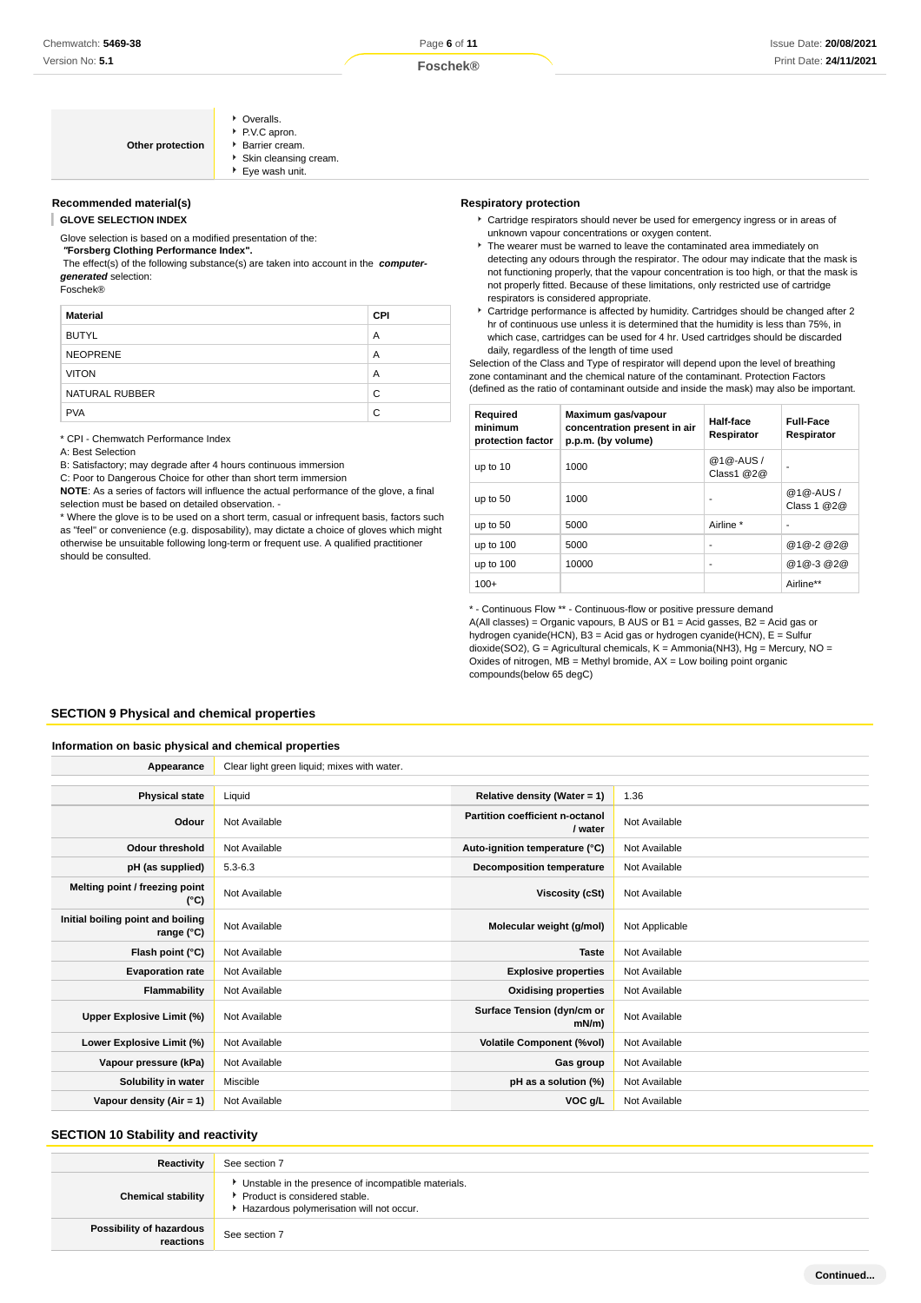| Other protection | • Overalls.<br>P.V.C apron.<br>▶ Barrier cream.<br>Skin cleansing cream.<br>▶ Eye wash unit. |
|------------------|----------------------------------------------------------------------------------------------|
|------------------|----------------------------------------------------------------------------------------------|

# **Recommended material(s)**

**GLOVE SELECTION INDEX**

Glove selection is based on a modified presentation of the:

### **"Forsberg Clothing Performance Index".**

 The effect(s) of the following substance(s) are taken into account in the **computergenerated** selection:

Foschek®

| <b>Material</b> | <b>CPI</b> |
|-----------------|------------|
| <b>BUTYL</b>    | A          |
| <b>NEOPRENE</b> | A          |
| <b>VITON</b>    | A          |
| NATURAL RUBBER  | C          |
| <b>PVA</b>      | C          |

\* CPI - Chemwatch Performance Index

A: Best Selection

B: Satisfactory; may degrade after 4 hours continuous immersion

C: Poor to Dangerous Choice for other than short term immersion

**NOTE**: As a series of factors will influence the actual performance of the glove, a final selection must be based on detailed observation. -

\* Where the glove is to be used on a short term, casual or infrequent basis, factors such as "feel" or convenience (e.g. disposability), may dictate a choice of gloves which might otherwise be unsuitable following long-term or frequent use. A qualified practitioner should be consulted.

#### **Respiratory protection**

- Cartridge respirators should never be used for emergency ingress or in areas of unknown vapour concentrations or oxygen content.
- $\blacktriangleright$  The wearer must be warned to leave the contaminated area immediately on detecting any odours through the respirator. The odour may indicate that the mask is not functioning properly, that the vapour concentration is too high, or that the mask is not properly fitted. Because of these limitations, only restricted use of cartridge respirators is considered appropriate.
- Cartridge performance is affected by humidity. Cartridges should be changed after 2 hr of continuous use unless it is determined that the humidity is less than 75%, in which case, cartridges can be used for 4 hr. Used cartridges should be discarded daily, regardless of the length of time used

Selection of the Class and Type of respirator will depend upon the level of breathing zone contaminant and the chemical nature of the contaminant. Protection Factors (defined as the ratio of contaminant outside and inside the mask) may also be important.

| Required<br>minimum<br>protection factor | Maximum gas/vapour<br>concentration present in air<br>p.p.m. (by volume) | Half-face<br>Respirator | <b>Full-Face</b><br>Respirator |
|------------------------------------------|--------------------------------------------------------------------------|-------------------------|--------------------------------|
| up to 10                                 | 1000                                                                     | @1@-AUS/<br>Class1 @2@  |                                |
| up to 50                                 | 1000                                                                     | ٠                       | @1@-AUS/<br>Class 1 @2@        |
| up to 50                                 | 5000                                                                     | Airline *               | ۰                              |
| up to 100                                | 5000                                                                     | ٠                       | @1@-2@2@                       |
| up to 100                                | 10000                                                                    | ٠                       | @1@-3@2@                       |
| $100+$                                   |                                                                          |                         | Airline**                      |

\* - Continuous Flow \*\* - Continuous-flow or positive pressure demand A(All classes) = Organic vapours, B AUS or B1 = Acid gasses, B2 = Acid gas or hydrogen cyanide(HCN), B3 = Acid gas or hydrogen cyanide(HCN), E = Sulfur dioxide(SO2), G = Agricultural chemicals, K = Ammonia(NH3), Hg = Mercury, NO = Oxides of nitrogen,  $\overline{MB}$  = Methyl bromide,  $AX$  = Low boiling point organic compounds(below 65 degC)

#### **SECTION 9 Physical and chemical properties**

#### **Information on basic physical and chemical properties**

| Appearance                                      | Clear light green liquid; mixes with water. |                                            |                |
|-------------------------------------------------|---------------------------------------------|--------------------------------------------|----------------|
|                                                 |                                             |                                            |                |
| <b>Physical state</b>                           | Liquid                                      | Relative density (Water = 1)               | 1.36           |
| Odour                                           | Not Available                               | Partition coefficient n-octanol<br>/ water | Not Available  |
| <b>Odour threshold</b>                          | Not Available                               | Auto-ignition temperature (°C)             | Not Available  |
| pH (as supplied)                                | $5.3 - 6.3$                                 | <b>Decomposition temperature</b>           | Not Available  |
| Melting point / freezing point<br>(°C)          | Not Available                               | Viscosity (cSt)                            | Not Available  |
| Initial boiling point and boiling<br>range (°C) | Not Available                               | Molecular weight (g/mol)                   | Not Applicable |
| Flash point (°C)                                | Not Available                               | <b>Taste</b>                               | Not Available  |
| <b>Evaporation rate</b>                         | Not Available                               | <b>Explosive properties</b>                | Not Available  |
| Flammability                                    | Not Available                               | <b>Oxidising properties</b>                | Not Available  |
| Upper Explosive Limit (%)                       | Not Available                               | Surface Tension (dyn/cm or<br>$mN/m$ )     | Not Available  |
| Lower Explosive Limit (%)                       | Not Available                               | <b>Volatile Component (%vol)</b>           | Not Available  |
| Vapour pressure (kPa)                           | Not Available                               | Gas group                                  | Not Available  |
| Solubility in water                             | Miscible                                    | pH as a solution (%)                       | Not Available  |
| Vapour density $(Air = 1)$                      | Not Available                               | VOC g/L                                    | Not Available  |

# **SECTION 10 Stability and reactivity**

| Reactivity                            | See section 7                                                                                                                      |
|---------------------------------------|------------------------------------------------------------------------------------------------------------------------------------|
| <b>Chemical stability</b>             | • Unstable in the presence of incompatible materials.<br>Product is considered stable.<br>Hazardous polymerisation will not occur. |
| Possibility of hazardous<br>reactions | See section 7                                                                                                                      |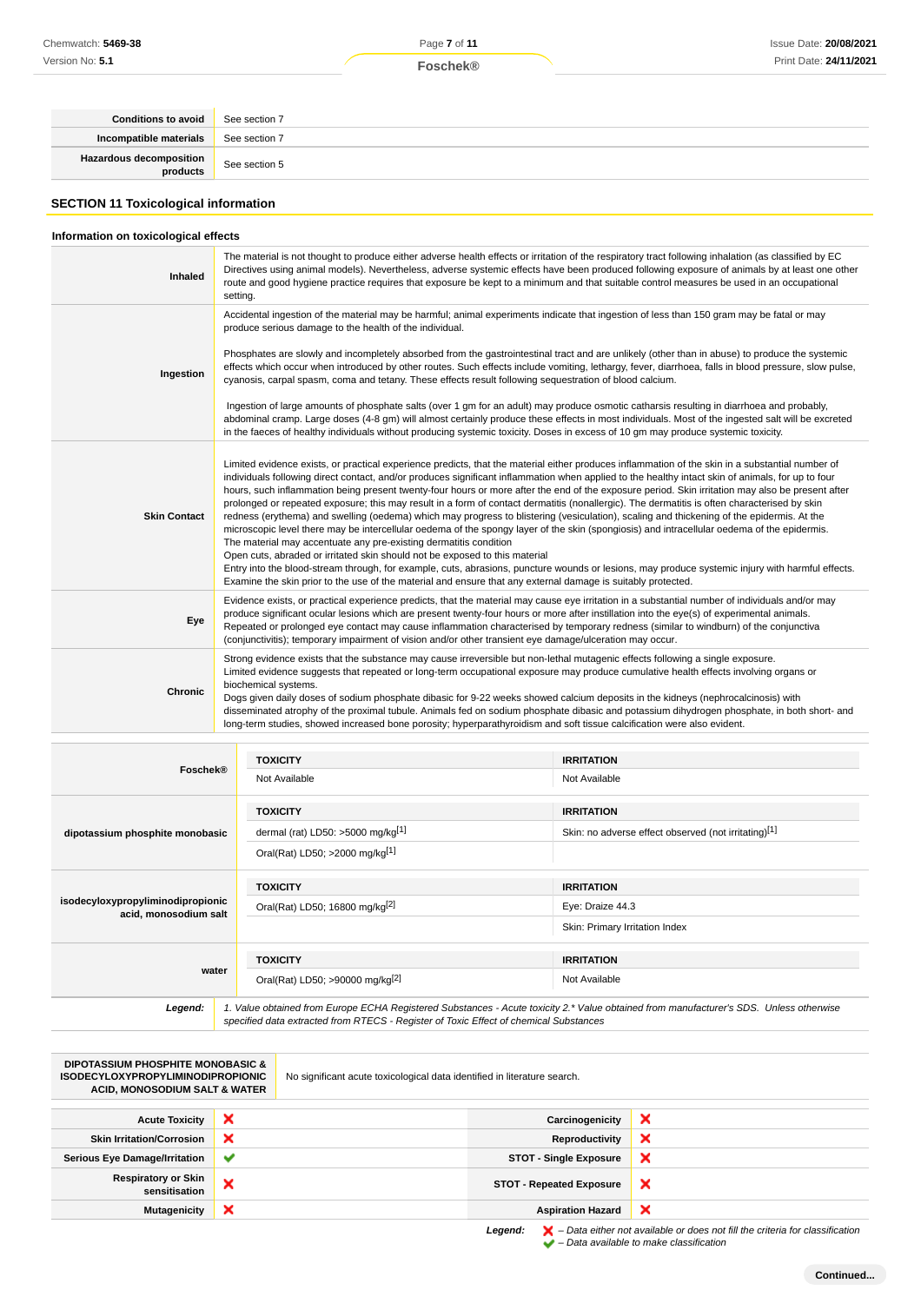**Foschek®**

| <b>Conditions to avoid</b> See section 7     |               |
|----------------------------------------------|---------------|
| Incompatible materials                       | See section 7 |
| <b>Hazardous decomposition</b> See section 5 |               |

# **SECTION 11 Toxicological information**

# **Information on toxicological effects**

| Inhaled             | The material is not thought to produce either adverse health effects or irritation of the respiratory tract following inhalation (as classified by EC<br>Directives using animal models). Nevertheless, adverse systemic effects have been produced following exposure of animals by at least one other<br>route and good hygiene practice requires that exposure be kept to a minimum and that suitable control measures be used in an occupational<br>setting.                                                                                                                                                                                                                                                                                                                                                                                                                                                                                                                                                                                                                                                                                                                                                                                                                                                              |
|---------------------|-------------------------------------------------------------------------------------------------------------------------------------------------------------------------------------------------------------------------------------------------------------------------------------------------------------------------------------------------------------------------------------------------------------------------------------------------------------------------------------------------------------------------------------------------------------------------------------------------------------------------------------------------------------------------------------------------------------------------------------------------------------------------------------------------------------------------------------------------------------------------------------------------------------------------------------------------------------------------------------------------------------------------------------------------------------------------------------------------------------------------------------------------------------------------------------------------------------------------------------------------------------------------------------------------------------------------------|
|                     | Accidental ingestion of the material may be harmful; animal experiments indicate that ingestion of less than 150 gram may be fatal or may<br>produce serious damage to the health of the individual.                                                                                                                                                                                                                                                                                                                                                                                                                                                                                                                                                                                                                                                                                                                                                                                                                                                                                                                                                                                                                                                                                                                          |
| Ingestion           | Phosphates are slowly and incompletely absorbed from the gastrointestinal tract and are unlikely (other than in abuse) to produce the systemic<br>effects which occur when introduced by other routes. Such effects include vomiting, lethargy, fever, diarrhoea, falls in blood pressure, slow pulse,<br>cyanosis, carpal spasm, coma and tetany. These effects result following sequestration of blood calcium.                                                                                                                                                                                                                                                                                                                                                                                                                                                                                                                                                                                                                                                                                                                                                                                                                                                                                                             |
|                     | Ingestion of large amounts of phosphate salts (over 1 gm for an adult) may produce osmotic catharsis resulting in diarrhoea and probably,<br>abdominal cramp. Large doses (4-8 gm) will almost certainly produce these effects in most individuals. Most of the ingested salt will be excreted<br>in the faeces of healthy individuals without producing systemic toxicity. Doses in excess of 10 gm may produce systemic toxicity.                                                                                                                                                                                                                                                                                                                                                                                                                                                                                                                                                                                                                                                                                                                                                                                                                                                                                           |
| <b>Skin Contact</b> | Limited evidence exists, or practical experience predicts, that the material either produces inflammation of the skin in a substantial number of<br>individuals following direct contact, and/or produces significant inflammation when applied to the healthy intact skin of animals, for up to four<br>hours, such inflammation being present twenty-four hours or more after the end of the exposure period. Skin irritation may also be present after<br>prolonged or repeated exposure; this may result in a form of contact dermatitis (nonallergic). The dermatitis is often characterised by skin<br>redness (erythema) and swelling (oedema) which may progress to blistering (vesiculation), scaling and thickening of the epidermis. At the<br>microscopic level there may be intercellular oedema of the spongy layer of the skin (spongiosis) and intracellular oedema of the epidermis.<br>The material may accentuate any pre-existing dermatitis condition<br>Open cuts, abraded or irritated skin should not be exposed to this material<br>Entry into the blood-stream through, for example, cuts, abrasions, puncture wounds or lesions, may produce systemic injury with harmful effects.<br>Examine the skin prior to the use of the material and ensure that any external damage is suitably protected. |
| Eye                 | Evidence exists, or practical experience predicts, that the material may cause eye irritation in a substantial number of individuals and/or may<br>produce significant ocular lesions which are present twenty-four hours or more after instillation into the eye(s) of experimental animals.<br>Repeated or prolonged eye contact may cause inflammation characterised by temporary redness (similar to windburn) of the conjunctiva<br>(conjunctivitis); temporary impairment of vision and/or other transient eye damage/ulceration may occur.                                                                                                                                                                                                                                                                                                                                                                                                                                                                                                                                                                                                                                                                                                                                                                             |
| Chronic             | Strong evidence exists that the substance may cause irreversible but non-lethal mutagenic effects following a single exposure.<br>Limited evidence suggests that repeated or long-term occupational exposure may produce cumulative health effects involving organs or<br>biochemical systems.<br>Dogs given daily doses of sodium phosphate dibasic for 9-22 weeks showed calcium deposits in the kidneys (nephrocalcinosis) with<br>disseminated atrophy of the proximal tubule. Animals fed on sodium phosphate dibasic and potassium dihydrogen phosphate, in both short- and<br>long-term studies, showed increased bone porosity; hyperparathyroidism and soft tissue calcification were also evident.                                                                                                                                                                                                                                                                                                                                                                                                                                                                                                                                                                                                                  |

|                                                            | <b>TOXICITY</b><br><b>IRRITATION</b>                                                                                                                                                                                            |                                                      |  |
|------------------------------------------------------------|---------------------------------------------------------------------------------------------------------------------------------------------------------------------------------------------------------------------------------|------------------------------------------------------|--|
| Foschek®                                                   | Not Available                                                                                                                                                                                                                   | Not Available                                        |  |
|                                                            | <b>TOXICITY</b>                                                                                                                                                                                                                 | <b>IRRITATION</b>                                    |  |
| dipotassium phosphite monobasic                            | dermal (rat) LD50: >5000 mg/kg <sup>[1]</sup>                                                                                                                                                                                   | Skin: no adverse effect observed (not irritating)[1] |  |
|                                                            | Oral(Rat) LD50; >2000 mg/kg[1]                                                                                                                                                                                                  |                                                      |  |
|                                                            | <b>TOXICITY</b>                                                                                                                                                                                                                 | <b>IRRITATION</b>                                    |  |
| isodecyloxypropyliminodipropionic<br>acid, monosodium salt | Oral(Rat) LD50; 16800 mg/kg <sup>[2]</sup>                                                                                                                                                                                      | Eye: Draize 44.3                                     |  |
|                                                            |                                                                                                                                                                                                                                 | Skin: Primary Irritation Index                       |  |
|                                                            | <b>TOXICITY</b>                                                                                                                                                                                                                 | <b>IRRITATION</b>                                    |  |
| water                                                      | Oral(Rat) LD50; >90000 mg/kg[2]                                                                                                                                                                                                 | Not Available                                        |  |
| Legend:                                                    | 1. Value obtained from Europe ECHA Registered Substances - Acute toxicity 2.* Value obtained from manufacturer's SDS. Unless otherwise<br>specified data extracted from RTECS - Register of Toxic Effect of chemical Substances |                                                      |  |

| <b>DIPOTASSIUM PHOSPHITE MONOBASIC &amp;</b><br><b>ISODECYLOXYPROPYLIMINODIPROPIONIC</b><br><b>ACID, MONOSODIUM SALT &amp; WATER</b> |              | No significant acute toxicological data identified in literature search. |                                 |                                                                                                    |
|--------------------------------------------------------------------------------------------------------------------------------------|--------------|--------------------------------------------------------------------------|---------------------------------|----------------------------------------------------------------------------------------------------|
| <b>Acute Toxicity</b>                                                                                                                | ×            |                                                                          | Carcinogenicity                 | ×                                                                                                  |
| <b>Skin Irritation/Corrosion</b>                                                                                                     | ×            |                                                                          | Reproductivity                  | ×                                                                                                  |
| <b>Serious Eye Damage/Irritation</b>                                                                                                 | $\checkmark$ |                                                                          | <b>STOT - Single Exposure</b>   | ×                                                                                                  |
| <b>Respiratory or Skin</b><br>sensitisation                                                                                          | ×            |                                                                          | <b>STOT - Repeated Exposure</b> | ×                                                                                                  |
| <b>Mutagenicity</b>                                                                                                                  | ×            |                                                                          | <b>Aspiration Hazard</b>        | ×                                                                                                  |
|                                                                                                                                      |              |                                                                          | Legend:                         | $\blacktriangleright$ - Data either not available or does not fill the criteria for classification |

– Data available to make classification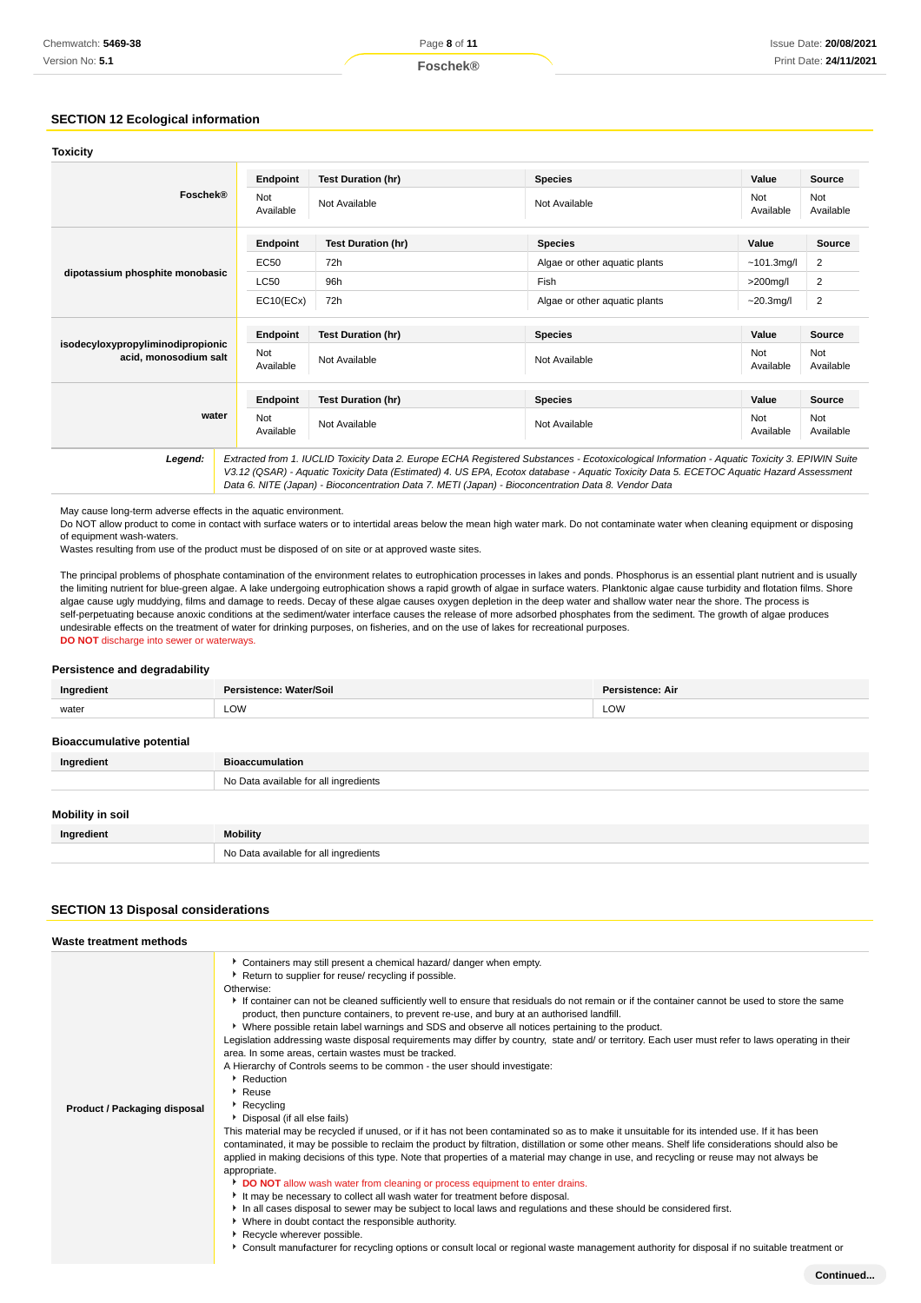# **SECTION 12 Ecological information**

| <b>Toxicity</b>                                            |                                                                                                                                                                                                                                                                                          |                           |                               |                  |                  |
|------------------------------------------------------------|------------------------------------------------------------------------------------------------------------------------------------------------------------------------------------------------------------------------------------------------------------------------------------------|---------------------------|-------------------------------|------------------|------------------|
|                                                            | Endpoint                                                                                                                                                                                                                                                                                 | <b>Test Duration (hr)</b> | <b>Species</b>                | Value            | <b>Source</b>    |
| Foschek®                                                   | Not<br>Available                                                                                                                                                                                                                                                                         | Not Available             | Not Available                 | Not<br>Available | Not<br>Available |
|                                                            | Endpoint                                                                                                                                                                                                                                                                                 | <b>Test Duration (hr)</b> | <b>Species</b>                | Value            | <b>Source</b>    |
|                                                            | <b>EC50</b>                                                                                                                                                                                                                                                                              | 72h                       | Algae or other aquatic plants | $~101.3$ mg/l    | 2                |
| dipotassium phosphite monobasic                            | LC50                                                                                                                                                                                                                                                                                     | 96h                       | Fish                          | $>200$ mg/l      | 2                |
|                                                            | EC10(ECx)                                                                                                                                                                                                                                                                                | 72h                       | Algae or other aquatic plants | $-20.3$ mg/l     | $\overline{2}$   |
|                                                            | Endpoint                                                                                                                                                                                                                                                                                 | <b>Test Duration (hr)</b> | <b>Species</b>                | Value            | Source           |
| isodecyloxypropyliminodipropionic<br>acid, monosodium salt | Not<br>Available                                                                                                                                                                                                                                                                         | Not Available             | Not Available                 | Not<br>Available | Not<br>Available |
|                                                            | Endpoint                                                                                                                                                                                                                                                                                 | <b>Test Duration (hr)</b> | <b>Species</b>                | Value            | Source           |
| water                                                      | Not<br>Available                                                                                                                                                                                                                                                                         | Not Available             | Not Available                 | Not<br>Available | Not<br>Available |
| Legend:                                                    | Extracted from 1. IUCLID Toxicity Data 2. Europe ECHA Registered Substances - Ecotoxicological Information - Aquatic Toxicity 3. EPIWIN Suite<br>V3.12 (QSAR) - Aquatic Toxicity Data (Estimated) 4. US EPA, Ecotox database - Aquatic Toxicity Data 5. ECETOC Aquatic Hazard Assessment |                           |                               |                  |                  |

May cause long-term adverse effects in the aquatic environment.

Do NOT allow product to come in contact with surface waters or to intertidal areas below the mean high water mark. Do not contaminate water when cleaning equipment or disposing of equipment wash-waters.

Data 6. NITE (Japan) - Bioconcentration Data 7. METI (Japan) - Bioconcentration Data 8. Vendor Data

Wastes resulting from use of the product must be disposed of on site or at approved waste sites.

The principal problems of phosphate contamination of the environment relates to eutrophication processes in lakes and ponds. Phosphorus is an essential plant nutrient and is usually the limiting nutrient for blue-green algae. A lake undergoing eutrophication shows a rapid growth of algae in surface waters. Planktonic algae cause turbidity and flotation films. Shore algae cause ugly muddying, films and damage to reeds. Decay of these algae causes oxygen depletion in the deep water and shallow water near the shore. The process is self-perpetuating because anoxic conditions at the sediment/water interface causes the release of more adsorbed phosphates from the sediment. The growth of algae produces undesirable effects on the treatment of water for drinking purposes, on fisheries, and on the use of lakes for recreational purposes. **DO NOT** discharge into sewer or waterways.

#### **Persistence and degradability**

| Ingredient                       | Persistence: Water/Soil               | <b>Persistence: Air</b> |  |
|----------------------------------|---------------------------------------|-------------------------|--|
| water                            | LOW                                   | LOW                     |  |
| <b>Bioaccumulative potential</b> |                                       |                         |  |
| Ingredient                       | <b>Bioaccumulation</b>                |                         |  |
|                                  | No Data available for all ingredients |                         |  |
| Mobility in soil                 |                                       |                         |  |
| Ingredient                       | <b>Mobility</b>                       |                         |  |
|                                  | No Data available for all ingredients |                         |  |

# **SECTION 13 Disposal considerations**

| Waste treatment methods      |                                                                                                                                                                                                                                                                                                                                                                                                                                                                                                                                                                                                                                                                                                                                                                                                                                                                                                                                                                                                                                                                                                                                                                                                                                                                                                                                                                                                                                                                                                                                                                                                                                                                                                                                                                                                                                                                               |
|------------------------------|-------------------------------------------------------------------------------------------------------------------------------------------------------------------------------------------------------------------------------------------------------------------------------------------------------------------------------------------------------------------------------------------------------------------------------------------------------------------------------------------------------------------------------------------------------------------------------------------------------------------------------------------------------------------------------------------------------------------------------------------------------------------------------------------------------------------------------------------------------------------------------------------------------------------------------------------------------------------------------------------------------------------------------------------------------------------------------------------------------------------------------------------------------------------------------------------------------------------------------------------------------------------------------------------------------------------------------------------------------------------------------------------------------------------------------------------------------------------------------------------------------------------------------------------------------------------------------------------------------------------------------------------------------------------------------------------------------------------------------------------------------------------------------------------------------------------------------------------------------------------------------|
| Product / Packaging disposal | Containers may still present a chemical hazard/ danger when empty.<br>Return to supplier for reuse/ recycling if possible.<br>Otherwise:<br>If container can not be cleaned sufficiently well to ensure that residuals do not remain or if the container cannot be used to store the same<br>product, then puncture containers, to prevent re-use, and bury at an authorised landfill.<br>▶ Where possible retain label warnings and SDS and observe all notices pertaining to the product.<br>Legislation addressing waste disposal requirements may differ by country, state and/ or territory. Each user must refer to laws operating in their<br>area. In some areas, certain wastes must be tracked.<br>A Hierarchy of Controls seems to be common - the user should investigate:<br>Reduction<br>$\cdot$ Reuse<br>$\triangleright$ Recycling<br>Disposal (if all else fails)<br>This material may be recycled if unused, or if it has not been contaminated so as to make it unsuitable for its intended use. If it has been<br>contaminated, it may be possible to reclaim the product by filtration, distillation or some other means. Shelf life considerations should also be<br>applied in making decisions of this type. Note that properties of a material may change in use, and recycling or reuse may not always be<br>appropriate.<br>DO NOT allow wash water from cleaning or process equipment to enter drains.<br>It may be necessary to collect all wash water for treatment before disposal.<br>In all cases disposal to sewer may be subject to local laws and regulations and these should be considered first.<br>▶ Where in doubt contact the responsible authority.<br>Recycle wherever possible.<br>▶ Consult manufacturer for recycling options or consult local or regional waste management authority for disposal if no suitable treatment or |
|                              | Continued                                                                                                                                                                                                                                                                                                                                                                                                                                                                                                                                                                                                                                                                                                                                                                                                                                                                                                                                                                                                                                                                                                                                                                                                                                                                                                                                                                                                                                                                                                                                                                                                                                                                                                                                                                                                                                                                     |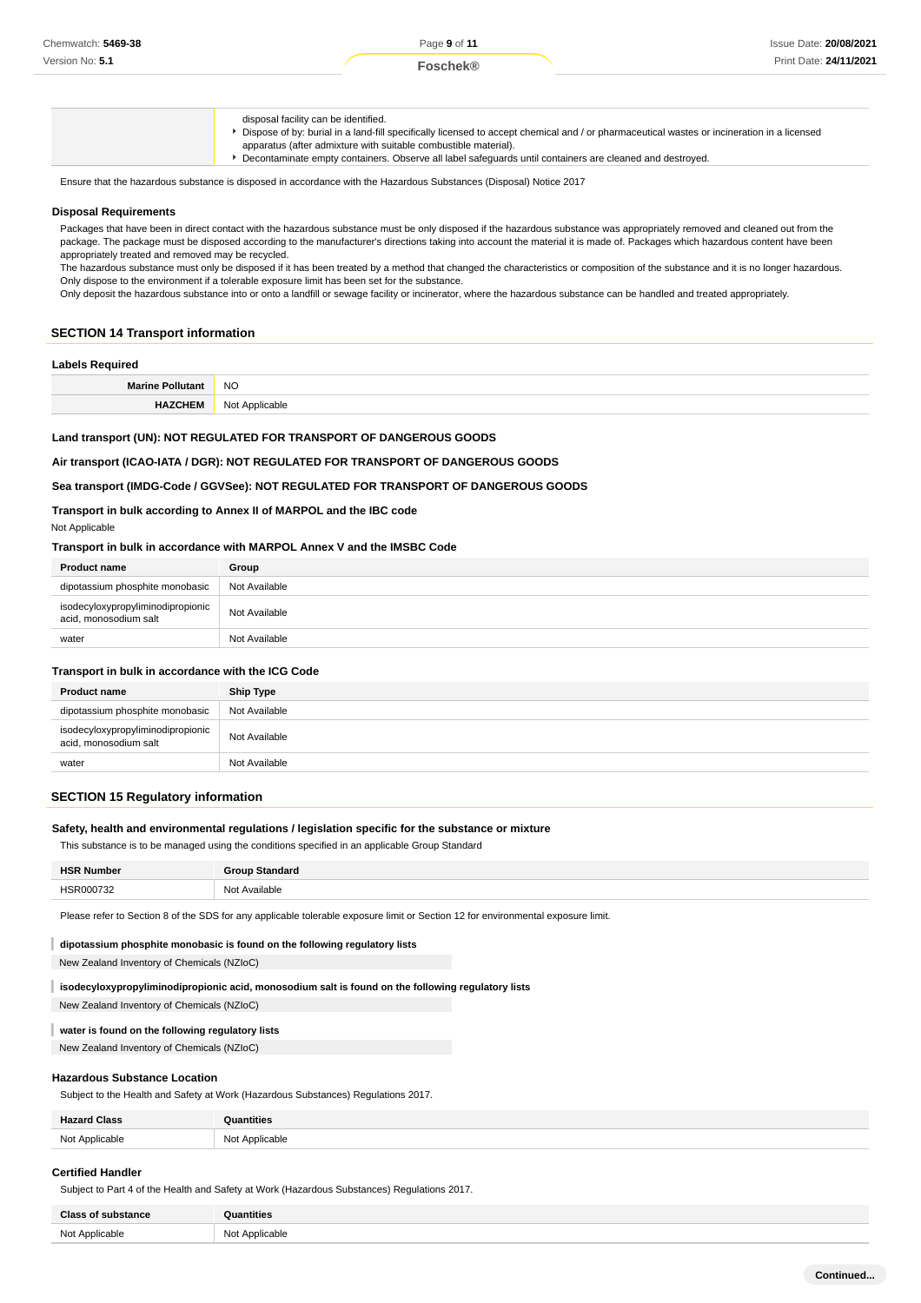disposal facility can be identified. Dispose of by: burial in a land-fill specifically licensed to accept chemical and / or pharmaceutical wastes or incineration in a licensed apparatus (after admixture with suitable combustible material). Decontaminate empty containers. Observe all label safeguards until containers are cleaned and destroyed.

Ensure that the hazardous substance is disposed in accordance with the Hazardous Substances (Disposal) Notice 2017

# **Disposal Requirements**

Packages that have been in direct contact with the hazardous substance must be only disposed if the hazardous substance was appropriately removed and cleaned out from the package. The package must be disposed according to the manufacturer's directions taking into account the material it is made of. Packages which hazardous content have been appropriately treated and removed may be recycled.

The hazardous substance must only be disposed if it has been treated by a method that changed the characteristics or composition of the substance and it is no longer hazardous. Only dispose to the environment if a tolerable exposure limit has been set for the substance.

Only deposit the hazardous substance into or onto a landfill or sewage facility or incinerator, where the hazardous substance can be handled and treated appropriately.

#### **SECTION 14 Transport information**

# **Labels Required**

| Ma | <b>NC</b> |
|----|-----------|
|    | $-$       |
|    |           |

### **Land transport (UN): NOT REGULATED FOR TRANSPORT OF DANGEROUS GOODS**

#### **Air transport (ICAO-IATA / DGR): NOT REGULATED FOR TRANSPORT OF DANGEROUS GOODS**

# **Sea transport (IMDG-Code / GGVSee): NOT REGULATED FOR TRANSPORT OF DANGEROUS GOODS**

**Transport in bulk according to Annex II of MARPOL and the IBC code**

Not Applicable

#### **Transport in bulk in accordance with MARPOL Annex V and the IMSBC Code**

| <b>Product name</b>                                        | Group         |
|------------------------------------------------------------|---------------|
| dipotassium phosphite monobasic                            | Not Available |
| isodecyloxypropyliminodipropionic<br>acid, monosodium salt | Not Available |
| water                                                      | Not Available |

#### **Transport in bulk in accordance with the ICG Code**

| <b>Product name</b>                                        | Ship Type     |
|------------------------------------------------------------|---------------|
| dipotassium phosphite monobasic                            | Not Available |
| isodecyloxypropyliminodipropionic<br>acid, monosodium salt | Not Available |
| water                                                      | Not Available |
|                                                            |               |

# **SECTION 15 Regulatory information**

#### **Safety, health and environmental regulations / legislation specific for the substance or mixture**

This substance is to be managed using the conditions specified in an applicable Group Standard

| ᄖ   |                 |
|-----|-----------------|
|     | rilable.        |
| 10T | N <sub>Io</sub> |
| .   |                 |

Please refer to Section 8 of the SDS for any applicable tolerable exposure limit or Section 12 for environmental exposure limit.

#### **dipotassium phosphite monobasic is found on the following regulatory lists**

New Zealand Inventory of Chemicals (NZIoC)

# **isodecyloxypropyliminodipropionic acid, monosodium salt is found on the following regulatory lists**

New Zealand Inventory of Chemicals (NZIoC)

# **water is found on the following regulatory lists**

New Zealand Inventory of Chemicals (NZIoC)

# **Hazardous Substance Location**

Subject to the Health and Safety at Work (Hazardous Substances) Regulations 2017.

| <b>Hazard Class</b> | uantities          |
|---------------------|--------------------|
| Not Applicable      | Not Applicable     |
|                     | $1800$ rapportions |

#### **Certified Handler**

Subject to Part 4 of the Health and Safety at Work (Hazardous Substances) Regulations 2017.

| <b>Class of substance</b> | <b>Quantities</b>                                       |
|---------------------------|---------------------------------------------------------|
| Not Applicable            | Not<br>Applicable<br>$\sim$ $\sim$ $\sim$ $\sim$ $\sim$ |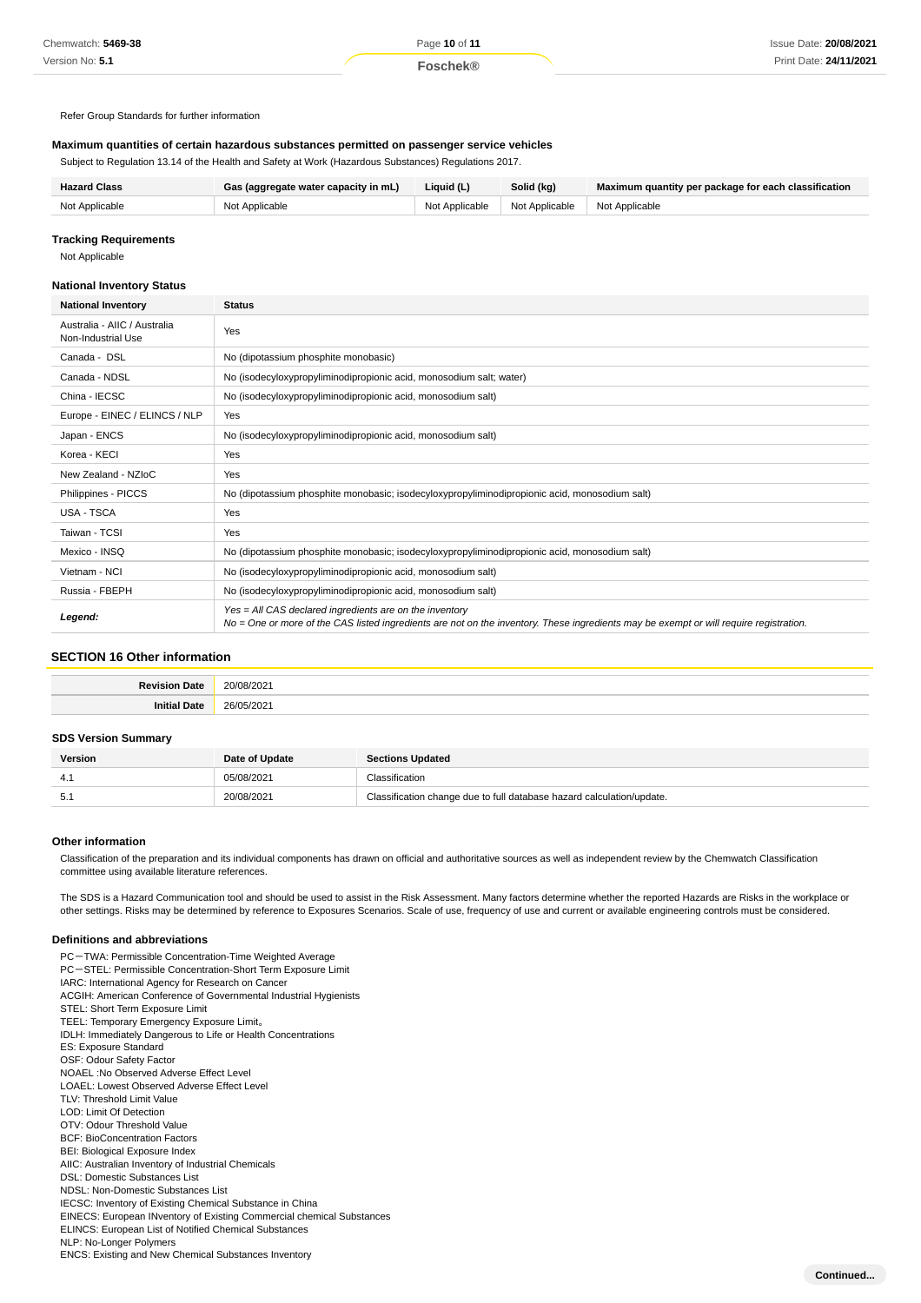Refer Group Standards for further information

### **Maximum quantities of certain hazardous substances permitted on passenger service vehicles**

Subject to Regulation 13.14 of the Health and Safety at Work (Hazardous Substances) Regulations 2017.

| <b>Hazard Class</b> | Gas (aggregate water capacity in mL) | Liauid (L)     | Solid (kg)     | Maximum quantity per package for each classification |
|---------------------|--------------------------------------|----------------|----------------|------------------------------------------------------|
| Not Applicable      | Not Applicable                       | Not Applicable | Not Applicable | Not Applicable                                       |

#### **Tracking Requirements**

Not Applicable

#### **National Inventory Status**

| <b>National Inventory</b>                          | <b>Status</b>                                                                                                                                                                                     |  |  |
|----------------------------------------------------|---------------------------------------------------------------------------------------------------------------------------------------------------------------------------------------------------|--|--|
| Australia - AIIC / Australia<br>Non-Industrial Use | Yes                                                                                                                                                                                               |  |  |
| Canada - DSL                                       | No (dipotassium phosphite monobasic)                                                                                                                                                              |  |  |
| Canada - NDSL                                      | No (isodecyloxypropyliminodipropionic acid, monosodium salt; water)                                                                                                                               |  |  |
| China - IECSC                                      | No (isodecyloxypropyliminodipropionic acid, monosodium salt)                                                                                                                                      |  |  |
| Europe - EINEC / ELINCS / NLP                      | Yes                                                                                                                                                                                               |  |  |
| Japan - ENCS                                       | No (isodecyloxypropyliminodipropionic acid, monosodium salt)                                                                                                                                      |  |  |
| Korea - KECI                                       | Yes                                                                                                                                                                                               |  |  |
| New Zealand - NZIoC                                | Yes                                                                                                                                                                                               |  |  |
| Philippines - PICCS                                | No (dipotassium phosphite monobasic; isodecyloxypropyliminodipropionic acid, monosodium salt)                                                                                                     |  |  |
| USA - TSCA                                         | Yes                                                                                                                                                                                               |  |  |
| Taiwan - TCSI                                      | Yes                                                                                                                                                                                               |  |  |
| Mexico - INSQ                                      | No (dipotassium phosphite monobasic; isodecyloxypropyliminodipropionic acid, monosodium salt)                                                                                                     |  |  |
| Vietnam - NCI                                      | No (isodecyloxypropyliminodipropionic acid, monosodium salt)                                                                                                                                      |  |  |
| Russia - FBEPH                                     | No (isodecyloxypropyliminodipropionic acid, monosodium salt)                                                                                                                                      |  |  |
| Legend:                                            | Yes = All CAS declared ingredients are on the inventory<br>No = One or more of the CAS listed ingredients are not on the inventory. These ingredients may be exempt or will require registration. |  |  |

# **SECTION 16 Other information**

| . .   | ົ                       |
|-------|-------------------------|
| ™ate. | -                       |
| ,,,,, | ^^<br>-<br>$\tilde{\ }$ |

# **SDS Version Summary**

| <b>Version</b> | Date of Update | <b>Sections Updated</b>                                               |
|----------------|----------------|-----------------------------------------------------------------------|
|                | 05/08/2021     | Classification                                                        |
| 5.1            | 20/08/2021     | Classification change due to full database hazard calculation/update. |

#### **Other information**

Classification of the preparation and its individual components has drawn on official and authoritative sources as well as independent review by the Chemwatch Classification committee using available literature references.

The SDS is a Hazard Communication tool and should be used to assist in the Risk Assessment. Many factors determine whether the reported Hazards are Risks in the workplace or other settings. Risks may be determined by reference to Exposures Scenarios. Scale of use, frequency of use and current or available engineering controls must be considered.

#### **Definitions and abbreviations**

PC-TWA: Permissible Concentration-Time Weighted Average PC-STEL: Permissible Concentration-Short Term Exposure Limit IARC: International Agency for Research on Cancer ACGIH: American Conference of Governmental Industrial Hygienists STEL: Short Term Exposure Limit TEEL: Temporary Emergency Exposure Limit。 IDLH: Immediately Dangerous to Life or Health Concentrations ES: Exposure Standard OSF: Odour Safety Factor NOAEL :No Observed Adverse Effect Level LOAEL: Lowest Observed Adverse Effect Level TLV: Threshold Limit Value LOD: Limit Of Detection OTV: Odour Threshold Value BCF: BioConcentration Factors BEI: Biological Exposure Index AIIC: Australian Inventory of Industrial Chemicals DSL: Domestic Substances List NDSL: Non-Domestic Substances List IECSC: Inventory of Existing Chemical Substance in China EINECS: European INventory of Existing Commercial chemical Substances ELINCS: European List of Notified Chemical Substances NLP: No-Longer Polymers ENCS: Existing and New Chemical Substances Inventory